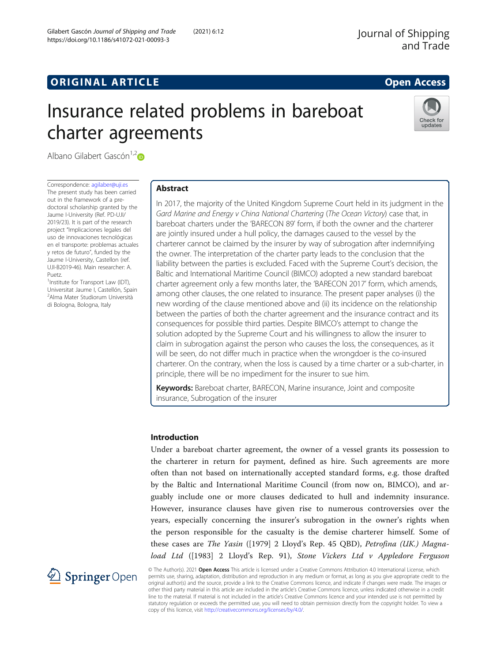# **ORIGINAL ARTICLE CONSERVANCE IN A LOCAL CONSERVANCE IN A LOCAL CONSERVANCE IN A LOCAL CONSERVANCE IN A LOCAL CONSERVANCE IN A LOCAL CONSERVANCE IN A LOCAL CONSERVANCE IN A LOCAL CONSERVANCE IN A LOCAL CONSERVANCE IN A L**

# Insurance related problems in bareboat charter agreements



Albano Gilabert Gascón<sup>1,[2](http://orcid.org/0000-0003-0643-219X)</sup> $\bullet$ 

Correspondence: [agilaber@uji.es](mailto:agilaber@uji.es) The present study has been carried out in the framework of a predoctoral scholarship granted by the Jaume I-University (Ref. PD-UJI/ 2019/23). It is part of the research project "Implicaciones legales del uso de innovaciones tecnológicas en el transporte: problemas actuales y retos de futuro", funded by the Jaume I-University, Castellon (ref. UJI-B2019-46). Main researcher: A. Puetz.

<sup>1</sup>Institute for Transport Law (IDT), Universitat Jaume I, Castellón, Spain 2 Alma Mater Studiorum Università di Bologna, Bologna, Italy

## Abstract

In 2017, the majority of the United Kingdom Supreme Court held in its judgment in the Gard Marine and Energy v China National Chartering (The Ocean Victory) case that, in bareboat charters under the 'BARECON 89' form, if both the owner and the charterer are jointly insured under a hull policy, the damages caused to the vessel by the charterer cannot be claimed by the insurer by way of subrogation after indemnifying the owner. The interpretation of the charter party leads to the conclusion that the liability between the parties is excluded. Faced with the Supreme Court's decision, the Baltic and International Maritime Council (BIMCO) adopted a new standard bareboat charter agreement only a few months later, the 'BARECON 2017' form, which amends, among other clauses, the one related to insurance. The present paper analyses (i) the new wording of the clause mentioned above and (ii) its incidence on the relationship between the parties of both the charter agreement and the insurance contract and its consequences for possible third parties. Despite BIMCO's attempt to change the solution adopted by the Supreme Court and his willingness to allow the insurer to claim in subrogation against the person who causes the loss, the consequences, as it will be seen, do not differ much in practice when the wrongdoer is the co-insured charterer. On the contrary, when the loss is caused by a time charter or a sub-charter, in principle, there will be no impediment for the insurer to sue him.

Keywords: Bareboat charter, BARECON, Marine insurance, Joint and composite insurance, Subrogation of the insurer

#### Introduction

Under a bareboat charter agreement, the owner of a vessel grants its possession to the charterer in return for payment, defined as hire. Such agreements are more often than not based on internationally accepted standard forms, e.g. those drafted by the Baltic and International Maritime Council (from now on, BIMCO), and arguably include one or more clauses dedicated to hull and indemnity insurance. However, insurance clauses have given rise to numerous controversies over the years, especially concerning the insurer's subrogation in the owner's rights when the person responsible for the casualty is the demise charterer himself. Some of these cases are The Yasin ([1979] 2 Lloyd's Rep. 45 QBD), Petrofina (UK.) Magnaload Ltd ([1983] 2 Lloyd's Rep. 91), Stone Vickers Ltd v Appledore Ferguson



© The Author(s). 2021 Open Access This article is licensed under a Creative Commons Attribution 4.0 International License, which permits use, sharing, adaptation, distribution and reproduction in any medium or format, as long as you give appropriate credit to the original author(s) and the source, provide a link to the Creative Commons licence, and indicate if changes were made. The images or other third party material in this article are included in the article's Creative Commons licence, unless indicated otherwise in a credit line to the material. If material is not included in the article's Creative Commons licence and your intended use is not permitted by statutory regulation or exceeds the permitted use, you will need to obtain permission directly from the copyright holder. To view a copy of this licence, visit <http://creativecommons.org/licenses/by/4.0/>.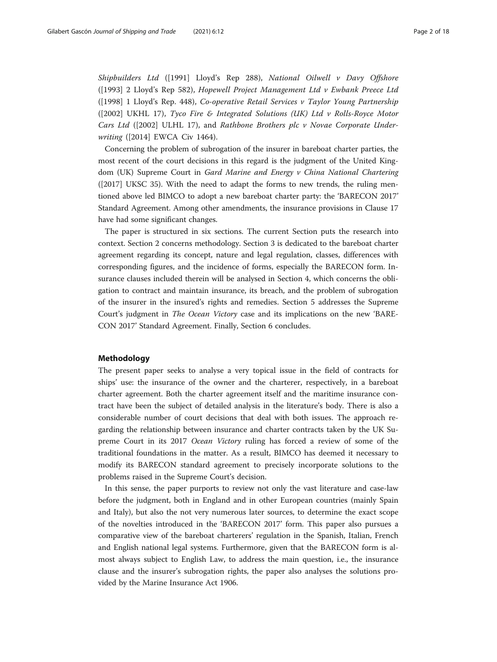Shipbuilders Ltd ([1991] Lloyd's Rep 288), National Oilwell v Davy Offshore ([1993] 2 Lloyd's Rep 582), Hopewell Project Management Ltd v Ewbank Preece Ltd ([1998] 1 Lloyd's Rep. 448), Co-operative Retail Services v Taylor Young Partnership ( $[2002]$  UKHL 17), Tyco Fire & Integrated Solutions (UK) Ltd v Rolls-Royce Motor Cars Ltd ([2002] ULHL 17), and Rathbone Brothers plc v Novae Corporate Underwriting ([2014] EWCA Civ 1464).

Concerning the problem of subrogation of the insurer in bareboat charter parties, the most recent of the court decisions in this regard is the judgment of the United Kingdom (UK) Supreme Court in Gard Marine and Energy v China National Chartering ([2017] UKSC 35). With the need to adapt the forms to new trends, the ruling mentioned above led BIMCO to adopt a new bareboat charter party: the 'BARECON 2017' Standard Agreement. Among other amendments, the insurance provisions in Clause 17 have had some significant changes.

The paper is structured in six sections. The current Section puts the research into context. Section 2 concerns methodology. Section 3 is dedicated to the bareboat charter agreement regarding its concept, nature and legal regulation, classes, differences with corresponding figures, and the incidence of forms, especially the BARECON form. Insurance clauses included therein will be analysed in Section 4, which concerns the obligation to contract and maintain insurance, its breach, and the problem of subrogation of the insurer in the insured's rights and remedies. Section 5 addresses the Supreme Court's judgment in The Ocean Victory case and its implications on the new 'BARE-CON 2017' Standard Agreement. Finally, Section 6 concludes.

#### Methodology

The present paper seeks to analyse a very topical issue in the field of contracts for ships' use: the insurance of the owner and the charterer, respectively, in a bareboat charter agreement. Both the charter agreement itself and the maritime insurance contract have been the subject of detailed analysis in the literature's body. There is also a considerable number of court decisions that deal with both issues. The approach regarding the relationship between insurance and charter contracts taken by the UK Supreme Court in its 2017 Ocean Victory ruling has forced a review of some of the traditional foundations in the matter. As a result, BIMCO has deemed it necessary to modify its BARECON standard agreement to precisely incorporate solutions to the problems raised in the Supreme Court's decision.

In this sense, the paper purports to review not only the vast literature and case-law before the judgment, both in England and in other European countries (mainly Spain and Italy), but also the not very numerous later sources, to determine the exact scope of the novelties introduced in the 'BARECON 2017' form. This paper also pursues a comparative view of the bareboat charterers' regulation in the Spanish, Italian, French and English national legal systems. Furthermore, given that the BARECON form is almost always subject to English Law, to address the main question, i.e., the insurance clause and the insurer's subrogation rights, the paper also analyses the solutions provided by the Marine Insurance Act 1906.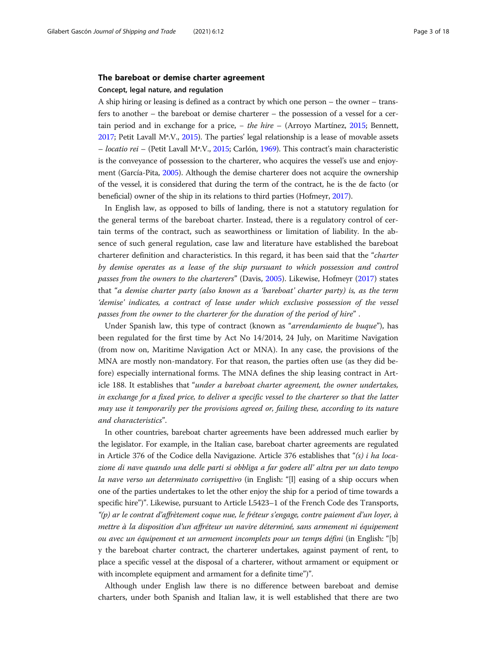#### The bareboat or demise charter agreement

#### Concept, legal nature, and regulation

A ship hiring or leasing is defined as a contract by which one person – the owner – transfers to another – the bareboat or demise charterer – the possession of a vessel for a certain period and in exchange for a price, − the hire – (Arroyo Martínez, [2015](#page-16-0); Bennett, [2017;](#page-16-0) Petit Lavall Mª.V., [2015](#page-17-0)). The parties' legal relationship is a lease of movable assets – locatio rei – (Petit Lavall Mª.V., [2015;](#page-17-0) Carlón, [1969](#page-16-0)). This contract's main characteristic is the conveyance of possession to the charterer, who acquires the vessel's use and enjoyment (García-Pita, [2005](#page-16-0)). Although the demise charterer does not acquire the ownership of the vessel, it is considered that during the term of the contract, he is the de facto (or beneficial) owner of the ship in its relations to third parties (Hofmeyr, [2017\)](#page-17-0).

In English law, as opposed to bills of landing, there is not a statutory regulation for the general terms of the bareboat charter. Instead, there is a regulatory control of certain terms of the contract, such as seaworthiness or limitation of liability. In the absence of such general regulation, case law and literature have established the bareboat charterer definition and characteristics. In this regard, it has been said that the "charter by demise operates as a lease of the ship pursuant to which possession and control passes from the owners to the charterers" (Davis, [2005\)](#page-16-0). Likewise, Hofmeyr ([2017\)](#page-17-0) states that "a demise charter party (also known as a 'bareboat' charter party) is, as the term 'demise' indicates, a contract of lease under which exclusive possession of the vessel passes from the owner to the charterer for the duration of the period of hire" .

Under Spanish law, this type of contract (known as "*arrendamiento de buque*"), has been regulated for the first time by Act No 14/2014, 24 July, on Maritime Navigation (from now on, Maritime Navigation Act or MNA). In any case, the provisions of the MNA are mostly non-mandatory. For that reason, the parties often use (as they did before) especially international forms. The MNA defines the ship leasing contract in Article 188. It establishes that "under a bareboat charter agreement, the owner undertakes, in exchange for a fixed price, to deliver a specific vessel to the charterer so that the latter may use it temporarily per the provisions agreed or, failing these, according to its nature and characteristics".

In other countries, bareboat charter agreements have been addressed much earlier by the legislator. For example, in the Italian case, bareboat charter agreements are regulated in Article 376 of the Codice della Navigazione. Article 376 establishes that " $(s)$  i ha locazione di nave quando una delle parti si obbliga a far godere all' altra per un dato tempo la nave verso un determinato corrispettivo (in English: "[1] easing of a ship occurs when one of the parties undertakes to let the other enjoy the ship for a period of time towards a specific hire")". Likewise, pursuant to Article L5423–1 of the French Code des Transports, "(p) ar le contrat d'affrètement coque nue, le fréteur s'engage, contre paiement d'un loyer, à mettre à la disposition d'un affréteur un navire déterminé, sans armement ni équipement ou avec un équipement et un armement incomplets pour un temps défini (in English: "[b] y the bareboat charter contract, the charterer undertakes, against payment of rent, to place a specific vessel at the disposal of a charterer, without armament or equipment or with incomplete equipment and armament for a definite time")".

Although under English law there is no difference between bareboat and demise charters, under both Spanish and Italian law, it is well established that there are two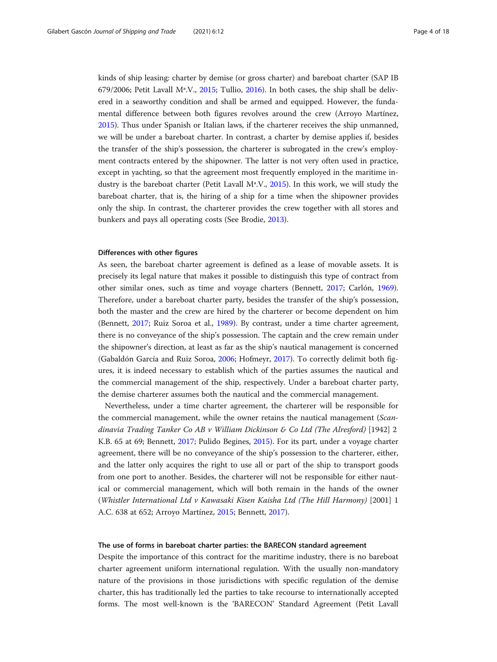kinds of ship leasing: charter by demise (or gross charter) and bareboat charter (SAP IB 679/2006; Petit Lavall Mª.V., [2015;](#page-17-0) Tullio, [2016](#page-17-0)). In both cases, the ship shall be delivered in a seaworthy condition and shall be armed and equipped. However, the fundamental difference between both figures revolves around the crew (Arroyo Martínez, [2015](#page-16-0)). Thus under Spanish or Italian laws, if the charterer receives the ship unmanned, we will be under a bareboat charter. In contrast, a charter by demise applies if, besides the transfer of the ship's possession, the charterer is subrogated in the crew's employment contracts entered by the shipowner. The latter is not very often used in practice, except in yachting, so that the agreement most frequently employed in the maritime industry is the bareboat charter (Petit Lavall Mª.V., [2015](#page-17-0)). In this work, we will study the bareboat charter, that is, the hiring of a ship for a time when the shipowner provides only the ship. In contrast, the charterer provides the crew together with all stores and bunkers and pays all operating costs (See Brodie, [2013\)](#page-16-0).

### Differences with other figures

As seen, the bareboat charter agreement is defined as a lease of movable assets. It is precisely its legal nature that makes it possible to distinguish this type of contract from other similar ones, such as time and voyage charters (Bennett, [2017](#page-16-0); Carlón, [1969](#page-16-0)). Therefore, under a bareboat charter party, besides the transfer of the ship's possession, both the master and the crew are hired by the charterer or become dependent on him (Bennett, [2017](#page-16-0); Ruiz Soroa et al., [1989](#page-17-0)). By contrast, under a time charter agreement, there is no conveyance of the ship's possession. The captain and the crew remain under the shipowner's direction, at least as far as the ship's nautical management is concerned (Gabaldón García and Ruiz Soroa, [2006](#page-16-0); Hofmeyr, [2017\)](#page-17-0). To correctly delimit both figures, it is indeed necessary to establish which of the parties assumes the nautical and the commercial management of the ship, respectively. Under a bareboat charter party, the demise charterer assumes both the nautical and the commercial management.

Nevertheless, under a time charter agreement, the charterer will be responsible for the commercial management, while the owner retains the nautical management (Scandinavia Trading Tanker Co AB v William Dickinson & Co Ltd (The Alresford) [1942] 2 K.B. 65 at 69; Bennett, [2017;](#page-16-0) Pulido Begines, [2015](#page-17-0)). For its part, under a voyage charter agreement, there will be no conveyance of the ship's possession to the charterer, either, and the latter only acquires the right to use all or part of the ship to transport goods from one port to another. Besides, the charterer will not be responsible for either nautical or commercial management, which will both remain in the hands of the owner (Whistler International Ltd v Kawasaki Kisen Kaisha Ltd (The Hill Harmony) [2001] 1 A.C. 638 at 652; Arroyo Martínez, [2015](#page-16-0); Bennett, [2017\)](#page-16-0).

#### The use of forms in bareboat charter parties: the BARECON standard agreement

Despite the importance of this contract for the maritime industry, there is no bareboat charter agreement uniform international regulation. With the usually non-mandatory nature of the provisions in those jurisdictions with specific regulation of the demise charter, this has traditionally led the parties to take recourse to internationally accepted forms. The most well-known is the 'BARECON' Standard Agreement (Petit Lavall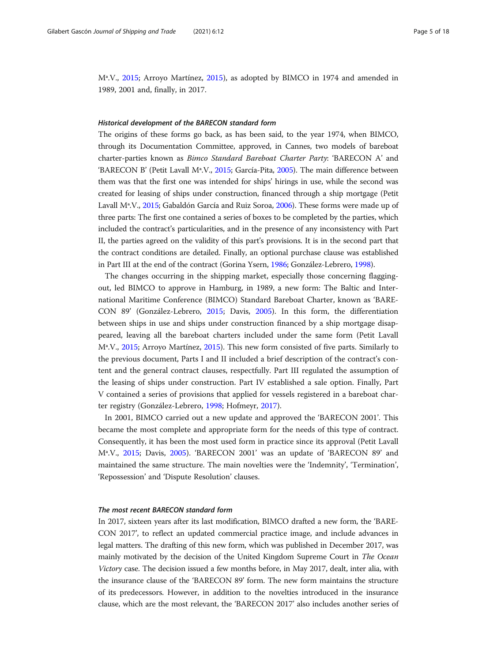Mª.V., [2015](#page-17-0); Arroyo Martínez, [2015](#page-16-0)), as adopted by BIMCO in 1974 and amended in 1989, 2001 and, finally, in 2017.

#### Historical development of the BARECON standard form

The origins of these forms go back, as has been said, to the year 1974, when BIMCO, through its Documentation Committee, approved, in Cannes, two models of bareboat charter-parties known as Bimco Standard Bareboat Charter Party: 'BARECON A' and 'BARECON B' (Petit Lavall Mª.V., [2015;](#page-17-0) García-Pita, [2005](#page-16-0)). The main difference between them was that the first one was intended for ships' hirings in use, while the second was created for leasing of ships under construction, financed through a ship mortgage (Petit Lavall Mª.V., [2015](#page-17-0); Gabaldón García and Ruiz Soroa, [2006](#page-16-0)). These forms were made up of three parts: The first one contained a series of boxes to be completed by the parties, which included the contract's particularities, and in the presence of any inconsistency with Part II, the parties agreed on the validity of this part's provisions. It is in the second part that the contract conditions are detailed. Finally, an optional purchase clause was established in Part III at the end of the contract (Gorina Ysern, [1986;](#page-17-0) González-Lebrero, [1998](#page-17-0)).

The changes occurring in the shipping market, especially those concerning flaggingout, led BIMCO to approve in Hamburg, in 1989, a new form: The Baltic and International Maritime Conference (BIMCO) Standard Bareboat Charter, known as 'BARE-CON 89' (González-Lebrero, [2015](#page-17-0); Davis, [2005\)](#page-16-0). In this form, the differentiation between ships in use and ships under construction financed by a ship mortgage disappeared, leaving all the bareboat charters included under the same form (Petit Lavall Mª.V., [2015](#page-17-0); Arroyo Martínez, [2015](#page-16-0)). This new form consisted of five parts. Similarly to the previous document, Parts I and II included a brief description of the contract's content and the general contract clauses, respectfully. Part III regulated the assumption of the leasing of ships under construction. Part IV established a sale option. Finally, Part V contained a series of provisions that applied for vessels registered in a bareboat charter registry (González-Lebrero, [1998](#page-17-0); Hofmeyr, [2017](#page-17-0)).

In 2001, BIMCO carried out a new update and approved the 'BARECON 2001'. This became the most complete and appropriate form for the needs of this type of contract. Consequently, it has been the most used form in practice since its approval (Petit Lavall Mª.V., [2015](#page-17-0); Davis, [2005](#page-16-0)). 'BARECON 2001' was an update of 'BARECON 89' and maintained the same structure. The main novelties were the 'Indemnity', 'Termination', 'Repossession' and 'Dispute Resolution' clauses.

#### The most recent BARECON standard form

In 2017, sixteen years after its last modification, BIMCO drafted a new form, the 'BARE-CON 2017', to reflect an updated commercial practice image, and include advances in legal matters. The drafting of this new form, which was published in December 2017, was mainly motivated by the decision of the United Kingdom Supreme Court in The Ocean Victory case. The decision issued a few months before, in May 2017, dealt, inter alia, with the insurance clause of the 'BARECON 89' form. The new form maintains the structure of its predecessors. However, in addition to the novelties introduced in the insurance clause, which are the most relevant, the 'BARECON 2017' also includes another series of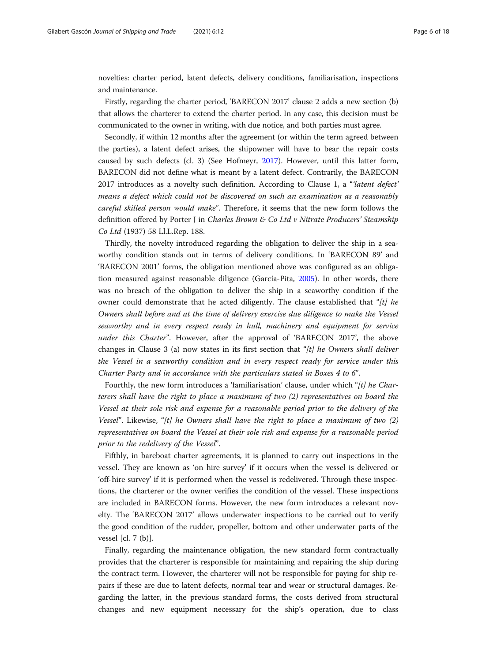novelties: charter period, latent defects, delivery conditions, familiarisation, inspections and maintenance.

Firstly, regarding the charter period, 'BARECON 2017' clause 2 adds a new section (b) that allows the charterer to extend the charter period. In any case, this decision must be communicated to the owner in writing, with due notice, and both parties must agree.

Secondly, if within 12 months after the agreement (or within the term agreed between the parties), a latent defect arises, the shipowner will have to bear the repair costs caused by such defects (cl. 3) (See Hofmeyr, [2017\)](#page-17-0). However, until this latter form, BARECON did not define what is meant by a latent defect. Contrarily, the BARECON 2017 introduces as a novelty such definition. According to Clause 1, a "*latent defect*" means a defect which could not be discovered on such an examination as a reasonably careful skilled person would make". Therefore, it seems that the new form follows the definition offered by Porter J in Charles Brown & Co Ltd v Nitrate Producers' Steamship Co Ltd (1937) 58 Ll.L.Rep. 188.

Thirdly, the novelty introduced regarding the obligation to deliver the ship in a seaworthy condition stands out in terms of delivery conditions. In 'BARECON 89' and 'BARECON 2001' forms, the obligation mentioned above was configured as an obligation measured against reasonable diligence (García-Pita, [2005](#page-16-0)). In other words, there was no breach of the obligation to deliver the ship in a seaworthy condition if the owner could demonstrate that he acted diligently. The clause established that " $[t]$  he Owners shall before and at the time of delivery exercise due diligence to make the Vessel seaworthy and in every respect ready in hull, machinery and equipment for service under this Charter". However, after the approval of 'BARECON 2017', the above changes in Clause 3 (a) now states in its first section that " $[t]$  he Owners shall deliver the Vessel in a seaworthy condition and in every respect ready for service under this Charter Party and in accordance with the particulars stated in Boxes 4 to 6".

Fourthly, the new form introduces a 'familiarisation' clause, under which "[t] he Charterers shall have the right to place a maximum of two (2) representatives on board the Vessel at their sole risk and expense for a reasonable period prior to the delivery of the Vessel". Likewise, "[t] he Owners shall have the right to place a maximum of two  $(2)$ representatives on board the Vessel at their sole risk and expense for a reasonable period prior to the redelivery of the Vessel".

Fifthly, in bareboat charter agreements, it is planned to carry out inspections in the vessel. They are known as 'on hire survey' if it occurs when the vessel is delivered or 'off-hire survey' if it is performed when the vessel is redelivered. Through these inspections, the charterer or the owner verifies the condition of the vessel. These inspections are included in BARECON forms. However, the new form introduces a relevant novelty. The 'BARECON 2017' allows underwater inspections to be carried out to verify the good condition of the rudder, propeller, bottom and other underwater parts of the vessel [cl. 7 (b)].

Finally, regarding the maintenance obligation, the new standard form contractually provides that the charterer is responsible for maintaining and repairing the ship during the contract term. However, the charterer will not be responsible for paying for ship repairs if these are due to latent defects, normal tear and wear or structural damages. Regarding the latter, in the previous standard forms, the costs derived from structural changes and new equipment necessary for the ship's operation, due to class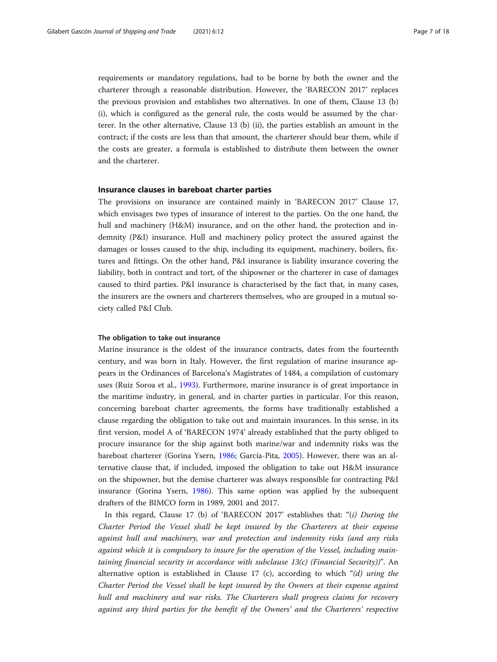requirements or mandatory regulations, had to be borne by both the owner and the charterer through a reasonable distribution. However, the 'BARECON 2017' replaces the previous provision and establishes two alternatives. In one of them, Clause 13 (b) (i), which is configured as the general rule, the costs would be assumed by the charterer. In the other alternative, Clause 13 (b) (ii), the parties establish an amount in the contract; if the costs are less than that amount, the charterer should bear them, while if the costs are greater, a formula is established to distribute them between the owner and the charterer.

#### Insurance clauses in bareboat charter parties

The provisions on insurance are contained mainly in 'BARECON 2017' Clause 17, which envisages two types of insurance of interest to the parties. On the one hand, the hull and machinery (H&M) insurance, and on the other hand, the protection and indemnity (P&I) insurance. Hull and machinery policy protect the assured against the damages or losses caused to the ship, including its equipment, machinery, boilers, fixtures and fittings. On the other hand, P&I insurance is liability insurance covering the liability, both in contract and tort, of the shipowner or the charterer in case of damages caused to third parties. P&I insurance is characterised by the fact that, in many cases, the insurers are the owners and charterers themselves, who are grouped in a mutual society called P&I Club.

#### The obligation to take out insurance

Marine insurance is the oldest of the insurance contracts, dates from the fourteenth century, and was born in Italy. However, the first regulation of marine insurance appears in the Ordinances of Barcelona's Magistrates of 1484, a compilation of customary uses (Ruiz Soroa et al., [1993\)](#page-17-0). Furthermore, marine insurance is of great importance in the maritime industry, in general, and in charter parties in particular. For this reason, concerning bareboat charter agreements, the forms have traditionally established a clause regarding the obligation to take out and maintain insurances. In this sense, in its first version, model A of 'BARECON 1974' already established that the party obliged to procure insurance for the ship against both marine/war and indemnity risks was the bareboat charterer (Gorina Ysern, [1986;](#page-17-0) García-Pita, [2005\)](#page-16-0). However, there was an alternative clause that, if included, imposed the obligation to take out H&M insurance on the shipowner, but the demise charterer was always responsible for contracting P&I insurance (Gorina Ysern, [1986](#page-17-0)). This same option was applied by the subsequent drafters of the BIMCO form in 1989, 2001 and 2017.

In this regard, Clause 17 (b) of 'BARECON 2017' establishes that: " $(i)$  During the Charter Period the Vessel shall be kept insured by the Charterers at their expense against hull and machinery, war and protection and indemnity risks (and any risks against which it is compulsory to insure for the operation of the Vessel, including maintaining financial security in accordance with subclause 13(c) (Financial Security))". An alternative option is established in Clause 17 (c), according to which "(d) uring the Charter Period the Vessel shall be kept insured by the Owners at their expense against hull and machinery and war risks. The Charterers shall progress claims for recovery against any third parties for the benefit of the Owners' and the Charterers' respective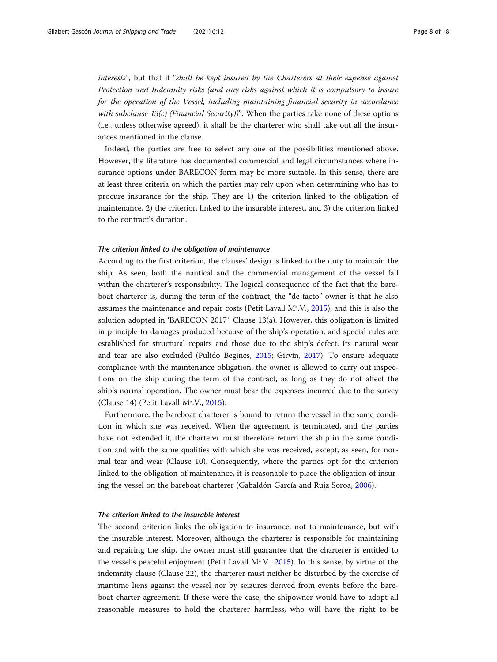interests", but that it "shall be kept insured by the Charterers at their expense against Protection and Indemnity risks (and any risks against which it is compulsory to insure for the operation of the Vessel, including maintaining financial security in accordance with subclause 13(c) (Financial Security)". When the parties take none of these options (i.e., unless otherwise agreed), it shall be the charterer who shall take out all the insurances mentioned in the clause.

Indeed, the parties are free to select any one of the possibilities mentioned above. However, the literature has documented commercial and legal circumstances where insurance options under BARECON form may be more suitable. In this sense, there are at least three criteria on which the parties may rely upon when determining who has to procure insurance for the ship. They are 1) the criterion linked to the obligation of maintenance, 2) the criterion linked to the insurable interest, and 3) the criterion linked to the contract's duration.

#### The criterion linked to the obligation of maintenance

According to the first criterion, the clauses' design is linked to the duty to maintain the ship. As seen, both the nautical and the commercial management of the vessel fall within the charterer's responsibility. The logical consequence of the fact that the bareboat charterer is, during the term of the contract, the "de facto" owner is that he also assumes the maintenance and repair costs (Petit Lavall Mª.V., [2015\)](#page-17-0), and this is also the solution adopted in 'BARECON 2017′ Clause 13(a). However, this obligation is limited in principle to damages produced because of the ship's operation, and special rules are established for structural repairs and those due to the ship's defect. Its natural wear and tear are also excluded (Pulido Begines, [2015;](#page-17-0) Girvin, [2017](#page-17-0)). To ensure adequate compliance with the maintenance obligation, the owner is allowed to carry out inspections on the ship during the term of the contract, as long as they do not affect the ship's normal operation. The owner must bear the expenses incurred due to the survey (Clause 14) (Petit Lavall Mª.V., [2015](#page-17-0)).

Furthermore, the bareboat charterer is bound to return the vessel in the same condition in which she was received. When the agreement is terminated, and the parties have not extended it, the charterer must therefore return the ship in the same condition and with the same qualities with which she was received, except, as seen, for normal tear and wear (Clause 10). Consequently, where the parties opt for the criterion linked to the obligation of maintenance, it is reasonable to place the obligation of insuring the vessel on the bareboat charterer (Gabaldón García and Ruiz Soroa, [2006](#page-16-0)).

#### The criterion linked to the insurable interest

The second criterion links the obligation to insurance, not to maintenance, but with the insurable interest. Moreover, although the charterer is responsible for maintaining and repairing the ship, the owner must still guarantee that the charterer is entitled to the vessel's peaceful enjoyment (Petit Lavall Mª.V., [2015\)](#page-17-0). In this sense, by virtue of the indemnity clause (Clause 22), the charterer must neither be disturbed by the exercise of maritime liens against the vessel nor by seizures derived from events before the bareboat charter agreement. If these were the case, the shipowner would have to adopt all reasonable measures to hold the charterer harmless, who will have the right to be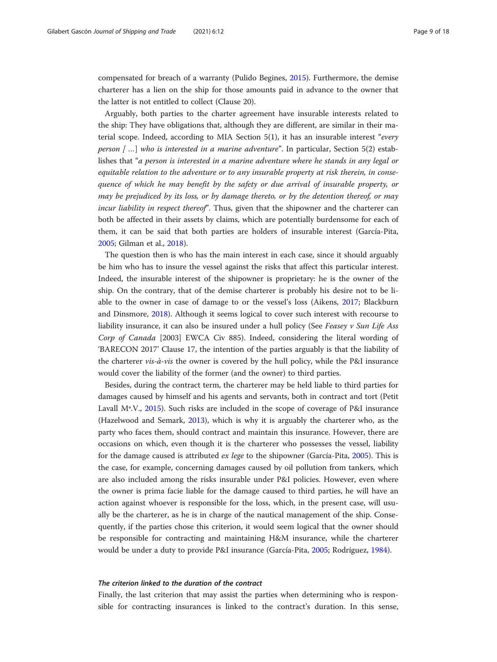compensated for breach of a warranty (Pulido Begines, [2015\)](#page-17-0). Furthermore, the demise charterer has a lien on the ship for those amounts paid in advance to the owner that the latter is not entitled to collect (Clause 20).

Arguably, both parties to the charter agreement have insurable interests related to the ship: They have obligations that, although they are different, are similar in their material scope. Indeed, according to MIA Section 5(1), it has an insurable interest "every person  $[$ ...] who is interested in a marine adventure". In particular, Section 5(2) establishes that "a person is interested in a marine adventure where he stands in any legal or equitable relation to the adventure or to any insurable property at risk therein, in consequence of which he may benefit by the safety or due arrival of insurable property, or may be prejudiced by its loss, or by damage thereto, or by the detention thereof, or may incur liability in respect thereof". Thus, given that the shipowner and the charterer can both be affected in their assets by claims, which are potentially burdensome for each of them, it can be said that both parties are holders of insurable interest (García-Pita, [2005](#page-16-0); Gilman et al., [2018](#page-16-0)).

The question then is who has the main interest in each case, since it should arguably be him who has to insure the vessel against the risks that affect this particular interest. Indeed, the insurable interest of the shipowner is proprietary: he is the owner of the ship. On the contrary, that of the demise charterer is probably his desire not to be liable to the owner in case of damage to or the vessel's loss (Aikens, [2017;](#page-16-0) Blackburn and Dinsmore, [2018](#page-16-0)). Although it seems logical to cover such interest with recourse to liability insurance, it can also be insured under a hull policy (See Feasey v Sun Life Ass Corp of Canada [2003] EWCA Civ 885). Indeed, considering the literal wording of 'BARECON 2017' Clause 17, the intention of the parties arguably is that the liability of the charterer *vis-à-vis* the owner is covered by the hull policy, while the P&I insurance would cover the liability of the former (and the owner) to third parties.

Besides, during the contract term, the charterer may be held liable to third parties for damages caused by himself and his agents and servants, both in contract and tort (Petit Lavall Mª.V., [2015](#page-17-0)). Such risks are included in the scope of coverage of P&I insurance (Hazelwood and Semark, [2013](#page-17-0)), which is why it is arguably the charterer who, as the party who faces them, should contract and maintain this insurance. However, there are occasions on which, even though it is the charterer who possesses the vessel, liability for the damage caused is attributed ex lege to the shipowner (García-Pita, [2005\)](#page-16-0). This is the case, for example, concerning damages caused by oil pollution from tankers, which are also included among the risks insurable under P&I policies. However, even where the owner is prima facie liable for the damage caused to third parties, he will have an action against whoever is responsible for the loss, which, in the present case, will usually be the charterer, as he is in charge of the nautical management of the ship. Consequently, if the parties chose this criterion, it would seem logical that the owner should be responsible for contracting and maintaining H&M insurance, while the charterer would be under a duty to provide P&I insurance (García-Pita, [2005](#page-16-0); Rodríguez, [1984](#page-17-0)).

#### The criterion linked to the duration of the contract

Finally, the last criterion that may assist the parties when determining who is responsible for contracting insurances is linked to the contract's duration. In this sense,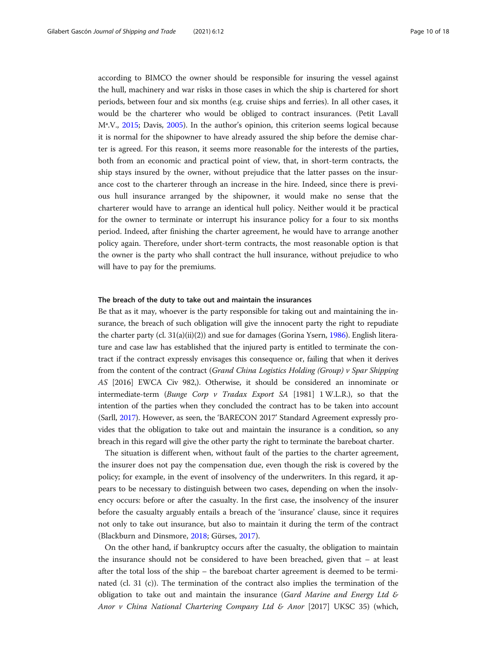according to BIMCO the owner should be responsible for insuring the vessel against the hull, machinery and war risks in those cases in which the ship is chartered for short periods, between four and six months (e.g. cruise ships and ferries). In all other cases, it would be the charterer who would be obliged to contract insurances. (Petit Lavall Mª.V., [2015;](#page-17-0) Davis, [2005\)](#page-16-0). In the author's opinion, this criterion seems logical because it is normal for the shipowner to have already assured the ship before the demise charter is agreed. For this reason, it seems more reasonable for the interests of the parties, both from an economic and practical point of view, that, in short-term contracts, the ship stays insured by the owner, without prejudice that the latter passes on the insurance cost to the charterer through an increase in the hire. Indeed, since there is previous hull insurance arranged by the shipowner, it would make no sense that the charterer would have to arrange an identical hull policy. Neither would it be practical for the owner to terminate or interrupt his insurance policy for a four to six months period. Indeed, after finishing the charter agreement, he would have to arrange another policy again. Therefore, under short-term contracts, the most reasonable option is that the owner is the party who shall contract the hull insurance, without prejudice to who will have to pay for the premiums.

#### The breach of the duty to take out and maintain the insurances

Be that as it may, whoever is the party responsible for taking out and maintaining the insurance, the breach of such obligation will give the innocent party the right to repudiate the charter party (cl. 31(a)(ii)(2)) and sue for damages (Gorina Ysern, [1986](#page-17-0)). English literature and case law has established that the injured party is entitled to terminate the contract if the contract expressly envisages this consequence or, failing that when it derives from the content of the contract (Grand China Logistics Holding (Group) v Spar Shipping AS [2016] EWCA Civ 982,). Otherwise, it should be considered an innominate or intermediate-term (Bunge Corp v Tradax Export SA [1981]  $1$  W.L.R.), so that the intention of the parties when they concluded the contract has to be taken into account (Sarll, [2017\)](#page-17-0). However, as seen, the 'BARECON 2017' Standard Agreement expressly provides that the obligation to take out and maintain the insurance is a condition, so any breach in this regard will give the other party the right to terminate the bareboat charter.

The situation is different when, without fault of the parties to the charter agreement, the insurer does not pay the compensation due, even though the risk is covered by the policy; for example, in the event of insolvency of the underwriters. In this regard, it appears to be necessary to distinguish between two cases, depending on when the insolvency occurs: before or after the casualty. In the first case, the insolvency of the insurer before the casualty arguably entails a breach of the 'insurance' clause, since it requires not only to take out insurance, but also to maintain it during the term of the contract (Blackburn and Dinsmore, [2018](#page-16-0); Gürses, [2017](#page-17-0)).

On the other hand, if bankruptcy occurs after the casualty, the obligation to maintain the insurance should not be considered to have been breached, given that – at least after the total loss of the ship – the bareboat charter agreement is deemed to be terminated (cl. 31 (c)). The termination of the contract also implies the termination of the obligation to take out and maintain the insurance (Gard Marine and Energy Ltd  $\varepsilon$ Anor v China National Chartering Company Ltd & Anor  $[2017]$  UKSC 35) (which,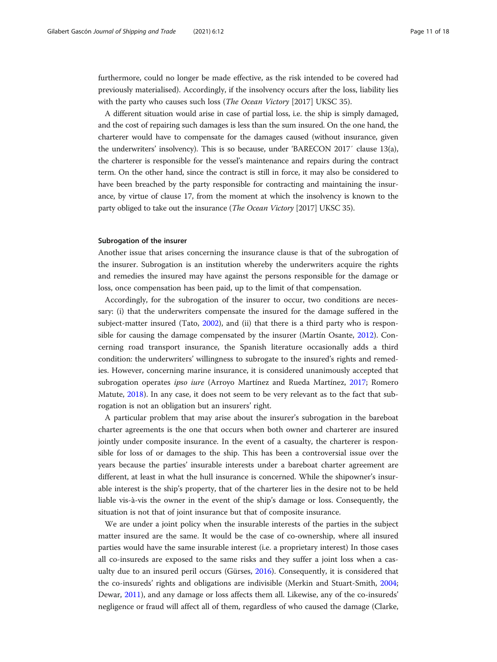furthermore, could no longer be made effective, as the risk intended to be covered had previously materialised). Accordingly, if the insolvency occurs after the loss, liability lies with the party who causes such loss (*The Ocean Victory* [2017] UKSC 35).

A different situation would arise in case of partial loss, i.e. the ship is simply damaged, and the cost of repairing such damages is less than the sum insured. On the one hand, the charterer would have to compensate for the damages caused (without insurance, given the underwriters' insolvency). This is so because, under 'BARECON 2017′ clause 13(a), the charterer is responsible for the vessel's maintenance and repairs during the contract term. On the other hand, since the contract is still in force, it may also be considered to have been breached by the party responsible for contracting and maintaining the insurance, by virtue of clause 17, from the moment at which the insolvency is known to the party obliged to take out the insurance (*The Ocean Victory* [2017] UKSC 35).

#### Subrogation of the insurer

Another issue that arises concerning the insurance clause is that of the subrogation of the insurer. Subrogation is an institution whereby the underwriters acquire the rights and remedies the insured may have against the persons responsible for the damage or loss, once compensation has been paid, up to the limit of that compensation.

Accordingly, for the subrogation of the insurer to occur, two conditions are necessary: (i) that the underwriters compensate the insured for the damage suffered in the subject-matter insured (Tato, [2002](#page-17-0)), and (ii) that there is a third party who is responsible for causing the damage compensated by the insurer (Martín Osante, [2012](#page-17-0)). Concerning road transport insurance, the Spanish literature occasionally adds a third condition: the underwriters' willingness to subrogate to the insured's rights and remedies. However, concerning marine insurance, it is considered unanimously accepted that subrogation operates ipso iure (Arroyo Martínez and Rueda Martínez, [2017;](#page-16-0) Romero Matute, [2018](#page-17-0)). In any case, it does not seem to be very relevant as to the fact that subrogation is not an obligation but an insurers' right.

A particular problem that may arise about the insurer's subrogation in the bareboat charter agreements is the one that occurs when both owner and charterer are insured jointly under composite insurance. In the event of a casualty, the charterer is responsible for loss of or damages to the ship. This has been a controversial issue over the years because the parties' insurable interests under a bareboat charter agreement are different, at least in what the hull insurance is concerned. While the shipowner's insurable interest is the ship's property, that of the charterer lies in the desire not to be held liable vis-à-vis the owner in the event of the ship's damage or loss. Consequently, the situation is not that of joint insurance but that of composite insurance.

We are under a joint policy when the insurable interests of the parties in the subject matter insured are the same. It would be the case of co-ownership, where all insured parties would have the same insurable interest (i.e. a proprietary interest) In those cases all co-insureds are exposed to the same risks and they suffer a joint loss when a casualty due to an insured peril occurs (Gürses, [2016\)](#page-17-0). Consequently, it is considered that the co-insureds' rights and obligations are indivisible (Merkin and Stuart-Smith, [2004](#page-17-0); Dewar, [2011\)](#page-16-0), and any damage or loss affects them all. Likewise, any of the co-insureds' negligence or fraud will affect all of them, regardless of who caused the damage (Clarke,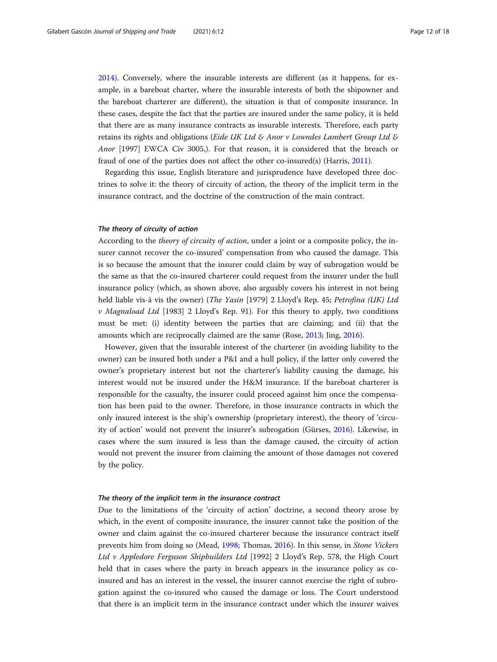[2014](#page-16-0)). Conversely, where the insurable interests are different (as it happens, for example, in a bareboat charter, where the insurable interests of both the shipowner and the bareboat charterer are different), the situation is that of composite insurance. In these cases, despite the fact that the parties are insured under the same policy, it is held that there are as many insurance contracts as insurable interests. Therefore, each party retains its rights and obligations (Eide UK Ltd & Anor v Lowndes Lambert Group Ltd  $\&$ Anor [1997] EWCA Civ 3005,). For that reason, it is considered that the breach or fraud of one of the parties does not affect the other co-insured(s) (Harris, [2011](#page-17-0)).

Regarding this issue, English literature and jurisprudence have developed three doctrines to solve it: the theory of circuity of action, the theory of the implicit term in the insurance contract, and the doctrine of the construction of the main contract.

#### The theory of circuity of action

According to the *theory of circuity of action*, under a joint or a composite policy, the insurer cannot recover the co-insured' compensation from who caused the damage. This is so because the amount that the insurer could claim by way of subrogation would be the same as that the co-insured charterer could request from the insurer under the hull insurance policy (which, as shown above, also arguably covers his interest in not being held liable vis-à vis the owner) (The Yasin [1979] 2 Lloyd's Rep. 45; Petrofina (UK) Ltd v Magnaload Ltd [1983] 2 Lloyd's Rep. 91). For this theory to apply, two conditions must be met: (i) identity between the parties that are claiming; and (ii) that the amounts which are reciprocally claimed are the same (Rose, [2013;](#page-17-0) Jing, [2016](#page-17-0)).

However, given that the insurable interest of the charterer (in avoiding liability to the owner) can be insured both under a P&I and a hull policy, if the latter only covered the owner's proprietary interest but not the charterer's liability causing the damage, his interest would not be insured under the H&M insurance. If the bareboat charterer is responsible for the casualty, the insurer could proceed against him once the compensation has been paid to the owner. Therefore, in those insurance contracts in which the only insured interest is the ship's ownership (proprietary interest), the theory of 'circuity of action' would not prevent the insurer's subrogation (Gürses, [2016\)](#page-17-0). Likewise, in cases where the sum insured is less than the damage caused, the circuity of action would not prevent the insurer from claiming the amount of those damages not covered by the policy.

#### The theory of the implicit term in the insurance contract

Due to the limitations of the 'circuity of action' doctrine, a second theory arose by which, in the event of composite insurance, the insurer cannot take the position of the owner and claim against the co-insured charterer because the insurance contract itself prevents him from doing so (Mead, [1998](#page-17-0); Thomas, [2016](#page-17-0)). In this sense, in Stone Vickers Ltd v Appledore Ferguson Shipbuilders Ltd [1992] 2 Lloyd's Rep. 578, the High Court held that in cases where the party in breach appears in the insurance policy as coinsured and has an interest in the vessel, the insurer cannot exercise the right of subrogation against the co-insured who caused the damage or loss. The Court understood that there is an implicit term in the insurance contract under which the insurer waives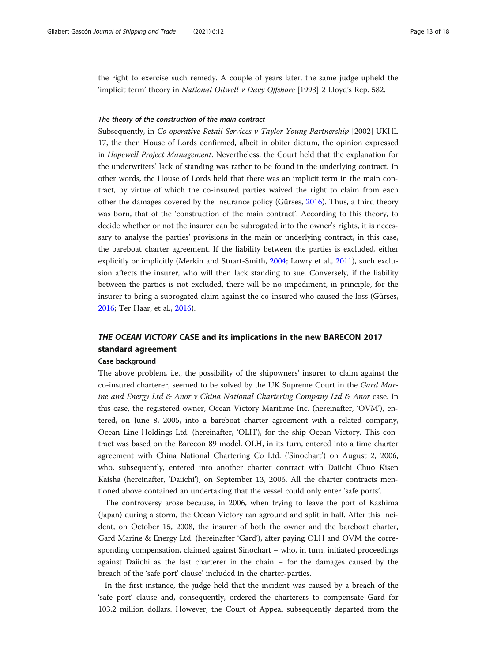the right to exercise such remedy. A couple of years later, the same judge upheld the 'implicit term' theory in National Oilwell v Davy Offshore [1993] 2 Lloyd's Rep. 582.

#### The theory of the construction of the main contract

Subsequently, in Co-operative Retail Services v Taylor Young Partnership [2002] UKHL 17, the then House of Lords confirmed, albeit in obiter dictum, the opinion expressed in Hopewell Project Management. Nevertheless, the Court held that the explanation for the underwriters' lack of standing was rather to be found in the underlying contract. In other words, the House of Lords held that there was an implicit term in the main contract, by virtue of which the co-insured parties waived the right to claim from each other the damages covered by the insurance policy (Gürses, [2016](#page-17-0)). Thus, a third theory was born, that of the 'construction of the main contract'. According to this theory, to decide whether or not the insurer can be subrogated into the owner's rights, it is necessary to analyse the parties' provisions in the main or underlying contract, in this case, the bareboat charter agreement. If the liability between the parties is excluded, either explicitly or implicitly (Merkin and Stuart-Smith, [2004](#page-17-0); Lowry et al., [2011](#page-17-0)), such exclusion affects the insurer, who will then lack standing to sue. Conversely, if the liability between the parties is not excluded, there will be no impediment, in principle, for the insurer to bring a subrogated claim against the co-insured who caused the loss (Gürses, [2016](#page-17-0); Ter Haar, et al., [2016](#page-17-0)).

# THE OCEAN VICTORY CASE and its implications in the new BARECON 2017 standard agreement

#### Case background

The above problem, i.e., the possibility of the shipowners' insurer to claim against the co-insured charterer, seemed to be solved by the UK Supreme Court in the Gard Marine and Energy Ltd & Anor v China National Chartering Company Ltd & Anor case. In this case, the registered owner, Ocean Victory Maritime Inc. (hereinafter, 'OVM'), entered, on June 8, 2005, into a bareboat charter agreement with a related company, Ocean Line Holdings Ltd. (hereinafter, 'OLH'), for the ship Ocean Victory. This contract was based on the Barecon 89 model. OLH, in its turn, entered into a time charter agreement with China National Chartering Co Ltd. ('Sinochart') on August 2, 2006, who, subsequently, entered into another charter contract with Daiichi Chuo Kisen Kaisha (hereinafter, 'Daiichi'), on September 13, 2006. All the charter contracts mentioned above contained an undertaking that the vessel could only enter 'safe ports'.

The controversy arose because, in 2006, when trying to leave the port of Kashima (Japan) during a storm, the Ocean Victory ran aground and split in half. After this incident, on October 15, 2008, the insurer of both the owner and the bareboat charter, Gard Marine & Energy Ltd. (hereinafter 'Gard'), after paying OLH and OVM the corresponding compensation, claimed against Sinochart – who, in turn, initiated proceedings against Daiichi as the last charterer in the chain – for the damages caused by the breach of the 'safe port' clause' included in the charter-parties.

In the first instance, the judge held that the incident was caused by a breach of the 'safe port' clause and, consequently, ordered the charterers to compensate Gard for 103.2 million dollars. However, the Court of Appeal subsequently departed from the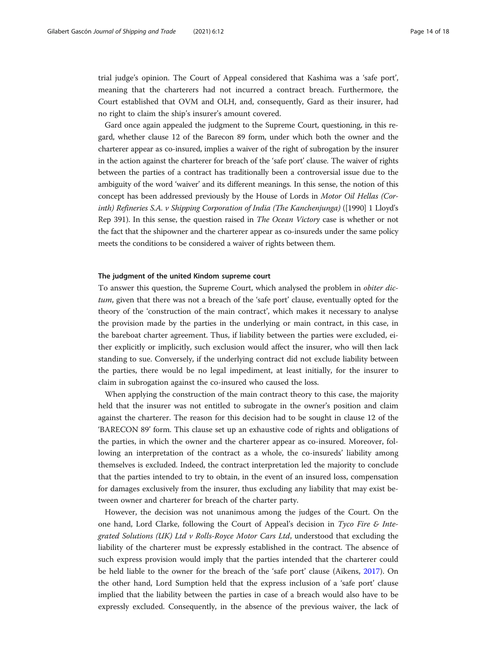trial judge's opinion. The Court of Appeal considered that Kashima was a 'safe port', meaning that the charterers had not incurred a contract breach. Furthermore, the Court established that OVM and OLH, and, consequently, Gard as their insurer, had no right to claim the ship's insurer's amount covered.

Gard once again appealed the judgment to the Supreme Court, questioning, in this regard, whether clause 12 of the Barecon 89 form, under which both the owner and the charterer appear as co-insured, implies a waiver of the right of subrogation by the insurer in the action against the charterer for breach of the 'safe port' clause. The waiver of rights between the parties of a contract has traditionally been a controversial issue due to the ambiguity of the word 'waiver' and its different meanings. In this sense, the notion of this concept has been addressed previously by the House of Lords in Motor Oil Hellas (Corinth) Refineries S.A. v Shipping Corporation of India (The Kanchenjunga) ([1990] 1 Lloyd's Rep 391). In this sense, the question raised in The Ocean Victory case is whether or not the fact that the shipowner and the charterer appear as co-insureds under the same policy meets the conditions to be considered a waiver of rights between them.

#### The judgment of the united Kindom supreme court

To answer this question, the Supreme Court, which analysed the problem in obiter dictum, given that there was not a breach of the 'safe port' clause, eventually opted for the theory of the 'construction of the main contract', which makes it necessary to analyse the provision made by the parties in the underlying or main contract, in this case, in the bareboat charter agreement. Thus, if liability between the parties were excluded, either explicitly or implicitly, such exclusion would affect the insurer, who will then lack standing to sue. Conversely, if the underlying contract did not exclude liability between the parties, there would be no legal impediment, at least initially, for the insurer to claim in subrogation against the co-insured who caused the loss.

When applying the construction of the main contract theory to this case, the majority held that the insurer was not entitled to subrogate in the owner's position and claim against the charterer. The reason for this decision had to be sought in clause 12 of the 'BARECON 89' form. This clause set up an exhaustive code of rights and obligations of the parties, in which the owner and the charterer appear as co-insured. Moreover, following an interpretation of the contract as a whole, the co-insureds' liability among themselves is excluded. Indeed, the contract interpretation led the majority to conclude that the parties intended to try to obtain, in the event of an insured loss, compensation for damages exclusively from the insurer, thus excluding any liability that may exist between owner and charterer for breach of the charter party.

However, the decision was not unanimous among the judges of the Court. On the one hand, Lord Clarke, following the Court of Appeal's decision in Tyco Fire & Integrated Solutions (UK) Ltd v Rolls-Royce Motor Cars Ltd, understood that excluding the liability of the charterer must be expressly established in the contract. The absence of such express provision would imply that the parties intended that the charterer could be held liable to the owner for the breach of the 'safe port' clause (Aikens, [2017\)](#page-16-0). On the other hand, Lord Sumption held that the express inclusion of a 'safe port' clause implied that the liability between the parties in case of a breach would also have to be expressly excluded. Consequently, in the absence of the previous waiver, the lack of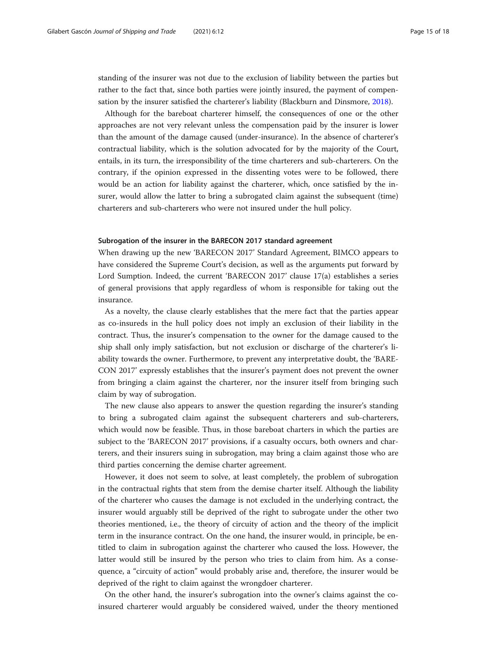standing of the insurer was not due to the exclusion of liability between the parties but rather to the fact that, since both parties were jointly insured, the payment of compensation by the insurer satisfied the charterer's liability (Blackburn and Dinsmore, [2018\)](#page-16-0).

Although for the bareboat charterer himself, the consequences of one or the other approaches are not very relevant unless the compensation paid by the insurer is lower than the amount of the damage caused (under-insurance). In the absence of charterer's contractual liability, which is the solution advocated for by the majority of the Court, entails, in its turn, the irresponsibility of the time charterers and sub-charterers. On the contrary, if the opinion expressed in the dissenting votes were to be followed, there would be an action for liability against the charterer, which, once satisfied by the insurer, would allow the latter to bring a subrogated claim against the subsequent (time) charterers and sub-charterers who were not insured under the hull policy.

#### Subrogation of the insurer in the BARECON 2017 standard agreement

When drawing up the new 'BARECON 2017' Standard Agreement, BIMCO appears to have considered the Supreme Court's decision, as well as the arguments put forward by Lord Sumption. Indeed, the current 'BARECON 2017' clause 17(a) establishes a series of general provisions that apply regardless of whom is responsible for taking out the insurance.

As a novelty, the clause clearly establishes that the mere fact that the parties appear as co-insureds in the hull policy does not imply an exclusion of their liability in the contract. Thus, the insurer's compensation to the owner for the damage caused to the ship shall only imply satisfaction, but not exclusion or discharge of the charterer's liability towards the owner. Furthermore, to prevent any interpretative doubt, the 'BARE-CON 2017' expressly establishes that the insurer's payment does not prevent the owner from bringing a claim against the charterer, nor the insurer itself from bringing such claim by way of subrogation.

The new clause also appears to answer the question regarding the insurer's standing to bring a subrogated claim against the subsequent charterers and sub-charterers, which would now be feasible. Thus, in those bareboat charters in which the parties are subject to the 'BARECON 2017' provisions, if a casualty occurs, both owners and charterers, and their insurers suing in subrogation, may bring a claim against those who are third parties concerning the demise charter agreement.

However, it does not seem to solve, at least completely, the problem of subrogation in the contractual rights that stem from the demise charter itself. Although the liability of the charterer who causes the damage is not excluded in the underlying contract, the insurer would arguably still be deprived of the right to subrogate under the other two theories mentioned, i.e., the theory of circuity of action and the theory of the implicit term in the insurance contract. On the one hand, the insurer would, in principle, be entitled to claim in subrogation against the charterer who caused the loss. However, the latter would still be insured by the person who tries to claim from him. As a consequence, a "circuity of action" would probably arise and, therefore, the insurer would be deprived of the right to claim against the wrongdoer charterer.

On the other hand, the insurer's subrogation into the owner's claims against the coinsured charterer would arguably be considered waived, under the theory mentioned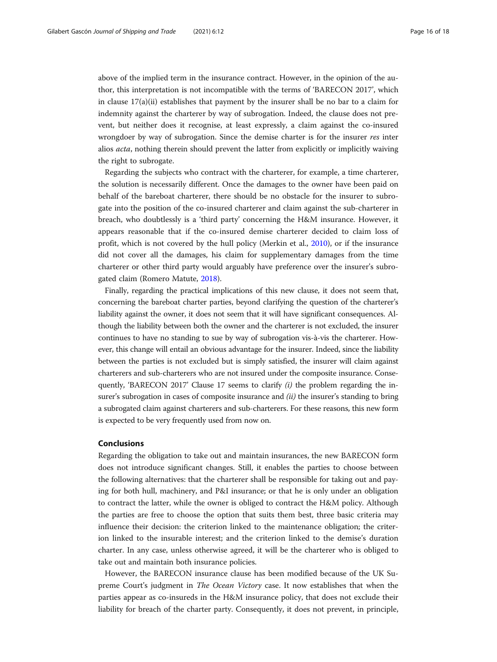above of the implied term in the insurance contract. However, in the opinion of the author, this interpretation is not incompatible with the terms of 'BARECON 2017', which in clause  $17(a)(ii)$  establishes that payment by the insurer shall be no bar to a claim for indemnity against the charterer by way of subrogation. Indeed, the clause does not prevent, but neither does it recognise, at least expressly, a claim against the co-insured wrongdoer by way of subrogation. Since the demise charter is for the insurer res inter alios acta, nothing therein should prevent the latter from explicitly or implicitly waiving the right to subrogate.

Regarding the subjects who contract with the charterer, for example, a time charterer, the solution is necessarily different. Once the damages to the owner have been paid on behalf of the bareboat charterer, there should be no obstacle for the insurer to subrogate into the position of the co-insured charterer and claim against the sub-charterer in breach, who doubtlessly is a 'third party' concerning the H&M insurance. However, it appears reasonable that if the co-insured demise charterer decided to claim loss of profit, which is not covered by the hull policy (Merkin et al., [2010\)](#page-17-0), or if the insurance did not cover all the damages, his claim for supplementary damages from the time charterer or other third party would arguably have preference over the insurer's subrogated claim (Romero Matute, [2018](#page-17-0)).

Finally, regarding the practical implications of this new clause, it does not seem that, concerning the bareboat charter parties, beyond clarifying the question of the charterer's liability against the owner, it does not seem that it will have significant consequences. Although the liability between both the owner and the charterer is not excluded, the insurer continues to have no standing to sue by way of subrogation vis-à-vis the charterer. However, this change will entail an obvious advantage for the insurer. Indeed, since the liability between the parties is not excluded but is simply satisfied, the insurer will claim against charterers and sub-charterers who are not insured under the composite insurance. Consequently, 'BARECON 2017' Clause 17 seems to clarify  $(i)$  the problem regarding the insurer's subrogation in cases of composite insurance and  $(ii)$  the insurer's standing to bring a subrogated claim against charterers and sub-charterers. For these reasons, this new form is expected to be very frequently used from now on.

#### Conclusions

Regarding the obligation to take out and maintain insurances, the new BARECON form does not introduce significant changes. Still, it enables the parties to choose between the following alternatives: that the charterer shall be responsible for taking out and paying for both hull, machinery, and P&I insurance; or that he is only under an obligation to contract the latter, while the owner is obliged to contract the H&M policy. Although the parties are free to choose the option that suits them best, three basic criteria may influence their decision: the criterion linked to the maintenance obligation; the criterion linked to the insurable interest; and the criterion linked to the demise's duration charter. In any case, unless otherwise agreed, it will be the charterer who is obliged to take out and maintain both insurance policies.

However, the BARECON insurance clause has been modified because of the UK Supreme Court's judgment in The Ocean Victory case. It now establishes that when the parties appear as co-insureds in the H&M insurance policy, that does not exclude their liability for breach of the charter party. Consequently, it does not prevent, in principle,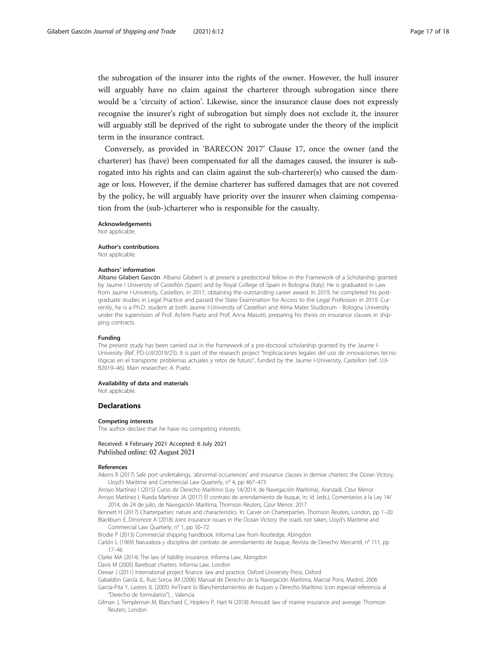<span id="page-16-0"></span>the subrogation of the insurer into the rights of the owner. However, the hull insurer will arguably have no claim against the charterer through subrogation since there would be a 'circuity of action'. Likewise, since the insurance clause does not expressly recognise the insurer's right of subrogation but simply does not exclude it, the insurer will arguably still be deprived of the right to subrogate under the theory of the implicit term in the insurance contract.

Conversely, as provided in 'BARECON 2017' Clause 17, once the owner (and the charterer) has (have) been compensated for all the damages caused, the insurer is subrogated into his rights and can claim against the sub-charterer(s) who caused the damage or loss. However, if the demise charterer has suffered damages that are not covered by the policy, he will arguably have priority over the insurer when claiming compensation from the (sub-)charterer who is responsible for the casualty.

Acknowledgements Not applicable.

Author's contributions Not applicable.

#### Authors' information

Albano Gilabert Gascón. Albano Gilabert is at present a predoctoral fellow in the Framework of a Scholarship granted by Jaume I University of Castellón (Spain) and by Royal College of Spain in Bologna (Italy). He is graduated in Law from Jaume I-University, Castellon, in 2017, obtaining the outstanding career award. In 2019, he completed his postgraduate studies in Legal Practice and passed the State Examination for Access to the Legal Profession in 2019. Currently, he is a Ph.D. student at both Jaume I-University of Castellon and Alma Mater Studiorum - Bologna University under the supervision of Prof. Achim Puetz and Prof. Anna Masutti, preparing his thesis on insurance clauses in shipping contracts.

#### Funding

The present study has been carried out in the framework of a pre-doctoral scholarship granted by the Jaume I-University (Ref. PD-UJI/2019/23). It is part of the research project "Implicaciones legales del uso de innovaciones tecnológicas en el transporte: problemas actuales y retos de futuro", funded by the Jaume I-University, Castellon (ref. UJI-B2019–46). Main researcher: A. Puetz.

#### Availability of data and materials

Not applicable.

#### **Declarations**

#### Competing interests

The author declare that he have no competing interests.

#### Received: 4 February 2021 Accepted: 6 July 2021 Published online: 02 August 2021

#### References

Aikens R (2017) Safe port undertakings, 'abnormal occurrences' and insurance clauses in demise charters: the Ocean Victory, Lloyd's Maritime and Commercial Law Quarterly, n° 4, pp 467–473

Arroyo Martínez I (2015) Curso de Derecho Marítimo (Ley 14/2014, de Navegación Marítima), Aranzadi, Cizur Menor Arroyo Martínez I, Rueda Martínez JA (2017) El contrato de arrendamiento de buque, in: id. (eds.), Comentarios a la Ley 14/

2014, de 24 de julio, de Navegación Marítima, Thomson Reuters, Cizur Menor, 2017 Bennett H (2017) Charterparties: nature and characteristics. In: Carver on Charterparties. Thomson Reuters, London, pp 1–20 Blackburn E, Dinsmore A (2018) Joint insurance issues in the Ocean Victory: the roads not taken, Lloyd's Maritime and Commercial Law Quarterly, n° 1, pp 50–72

Brodie P (2013) Commercial shipping handbook. Informa Law from Routledge, Abingdon

Carlón L (1969) Naturaleza y disciplina del contrato de arrendamiento de buque, Revista de Derecho Mercantil, n° 111, pp 17–46

Clarke MA (2014) The law of liability insurance. Informa Law, Abingdon

Davis M (2005) Bareboat charters. Informa Law, London

Dewar J (2011) International project finance: law and practice. Oxford University Press, Oxford

Gabaldón García JL, Ruiz Soroa JM (2006) Manual de Derecho de la Navegación Marítima, Marcial Pons, Madrid, 2006 García-Pita Y, Lastres JL (2005) ArrTirant lo Blanchendamientos de buques y Derecho Marítimo (con especial referencia al "Derecho de formularios"), , Valencia

Gilman J, Templeman M, Blanchard C, Hopkins P, Hart N (2018) Arnould: law of marine insurance and average. Thomson Reuters, London